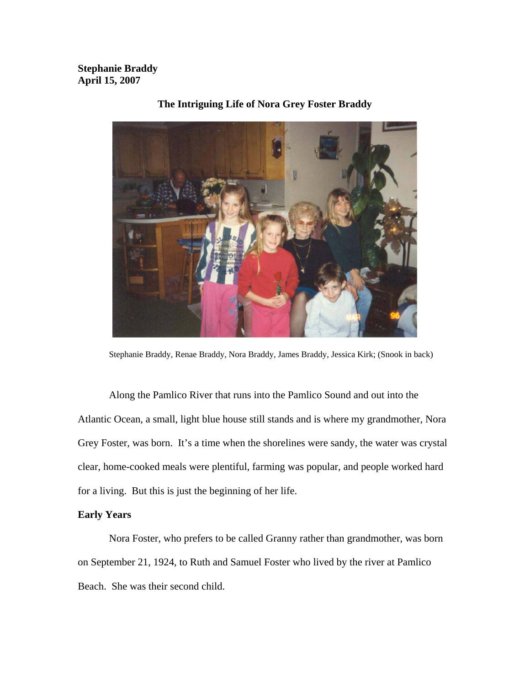**Stephanie Braddy April 15, 2007** 



### **The Intriguing Life of Nora Grey Foster Braddy**

Stephanie Braddy, Renae Braddy, Nora Braddy, James Braddy, Jessica Kirk; (Snook in back)

Along the Pamlico River that runs into the Pamlico Sound and out into the Atlantic Ocean, a small, light blue house still stands and is where my grandmother, Nora Grey Foster, was born. It's a time when the shorelines were sandy, the water was crystal clear, home-cooked meals were plentiful, farming was popular, and people worked hard for a living. But this is just the beginning of her life.

# **Early Years**

Nora Foster, who prefers to be called Granny rather than grandmother, was born on September 21, 1924, to Ruth and Samuel Foster who lived by the river at Pamlico Beach. She was their second child.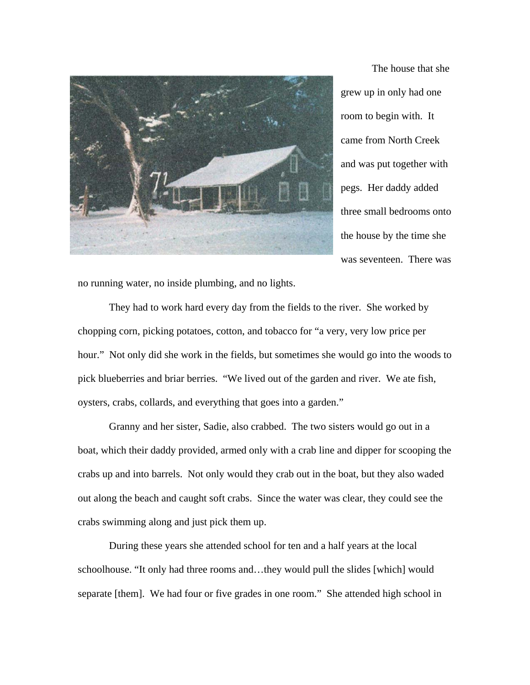

The house that she grew up in only had one room to begin with. It came from North Creek and was put together with pegs. Her daddy added three small bedrooms onto the house by the time she was seventeen. There was

no running water, no inside plumbing, and no lights.

They had to work hard every day from the fields to the river. She worked by chopping corn, picking potatoes, cotton, and tobacco for "a very, very low price per hour." Not only did she work in the fields, but sometimes she would go into the woods to pick blueberries and briar berries. "We lived out of the garden and river. We ate fish, oysters, crabs, collards, and everything that goes into a garden."

Granny and her sister, Sadie, also crabbed. The two sisters would go out in a boat, which their daddy provided, armed only with a crab line and dipper for scooping the crabs up and into barrels. Not only would they crab out in the boat, but they also waded out along the beach and caught soft crabs. Since the water was clear, they could see the crabs swimming along and just pick them up.

During these years she attended school for ten and a half years at the local schoolhouse. "It only had three rooms and…they would pull the slides [which] would separate [them]. We had four or five grades in one room." She attended high school in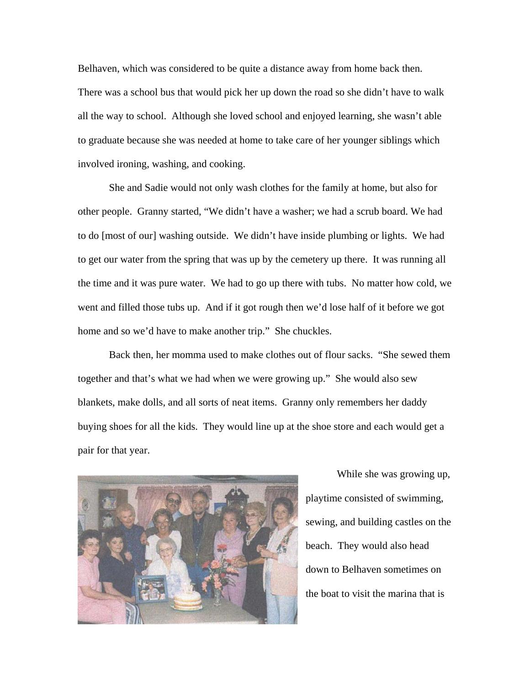Belhaven, which was considered to be quite a distance away from home back then. There was a school bus that would pick her up down the road so she didn't have to walk all the way to school. Although she loved school and enjoyed learning, she wasn't able to graduate because she was needed at home to take care of her younger siblings which involved ironing, washing, and cooking.

She and Sadie would not only wash clothes for the family at home, but also for other people. Granny started, "We didn't have a washer; we had a scrub board. We had to do [most of our] washing outside. We didn't have inside plumbing or lights. We had to get our water from the spring that was up by the cemetery up there. It was running all the time and it was pure water. We had to go up there with tubs. No matter how cold, we went and filled those tubs up. And if it got rough then we'd lose half of it before we got home and so we'd have to make another trip." She chuckles.

Back then, her momma used to make clothes out of flour sacks. "She sewed them together and that's what we had when we were growing up." She would also sew blankets, make dolls, and all sorts of neat items. Granny only remembers her daddy buying shoes for all the kids. They would line up at the shoe store and each would get a pair for that year.



While she was growing up, playtime consisted of swimming, sewing, and building castles on the beach. They would also head down to Belhaven sometimes on the boat to visit the marina that is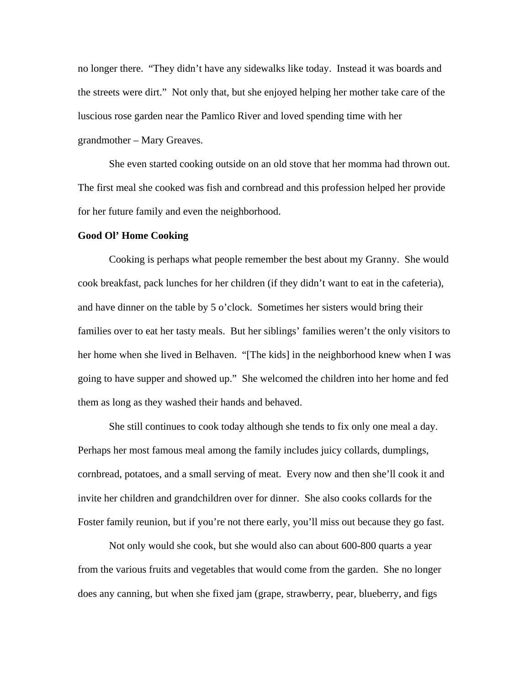no longer there. "They didn't have any sidewalks like today. Instead it was boards and the streets were dirt." Not only that, but she enjoyed helping her mother take care of the luscious rose garden near the Pamlico River and loved spending time with her grandmother – Mary Greaves.

She even started cooking outside on an old stove that her momma had thrown out. The first meal she cooked was fish and cornbread and this profession helped her provide for her future family and even the neighborhood.

#### **Good Ol' Home Cooking**

Cooking is perhaps what people remember the best about my Granny. She would cook breakfast, pack lunches for her children (if they didn't want to eat in the cafeteria), and have dinner on the table by 5 o'clock. Sometimes her sisters would bring their families over to eat her tasty meals. But her siblings' families weren't the only visitors to her home when she lived in Belhaven. "[The kids] in the neighborhood knew when I was going to have supper and showed up." She welcomed the children into her home and fed them as long as they washed their hands and behaved.

 She still continues to cook today although she tends to fix only one meal a day. Perhaps her most famous meal among the family includes juicy collards, dumplings, cornbread, potatoes, and a small serving of meat. Every now and then she'll cook it and invite her children and grandchildren over for dinner. She also cooks collards for the Foster family reunion, but if you're not there early, you'll miss out because they go fast.

Not only would she cook, but she would also can about 600-800 quarts a year from the various fruits and vegetables that would come from the garden. She no longer does any canning, but when she fixed jam (grape, strawberry, pear, blueberry, and figs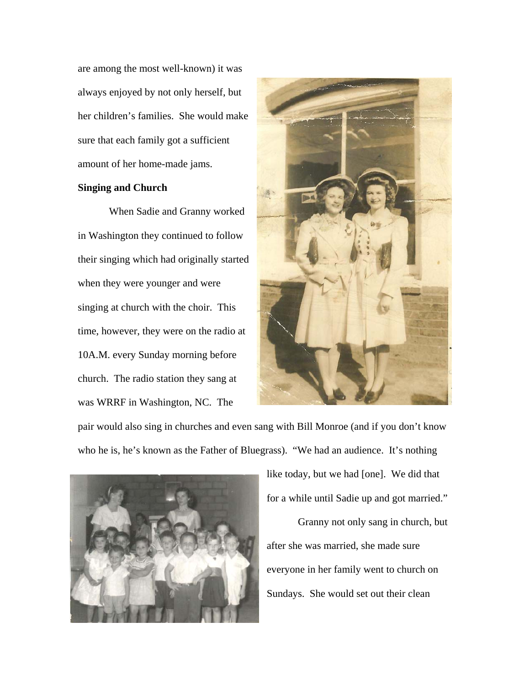are among the most well-known) it was always enjoyed by not only herself, but her children's families. She would make sure that each family got a sufficient amount of her home-made jams.

# **Singing and Church**

When Sadie and Granny worked in Washington they continued to follow their singing which had originally started when they were younger and were singing at church with the choir. This time, however, they were on the radio at 10A.M. every Sunday morning before church. The radio station they sang at was WRRF in Washington, NC. The



pair would also sing in churches and even sang with Bill Monroe (and if you don't know who he is, he's known as the Father of Bluegrass). "We had an audience. It's nothing



like today, but we had [one]. We did that for a while until Sadie up and got married." Granny not only sang in church, but

after she was married, she made sure everyone in her family went to church on Sundays. She would set out their clean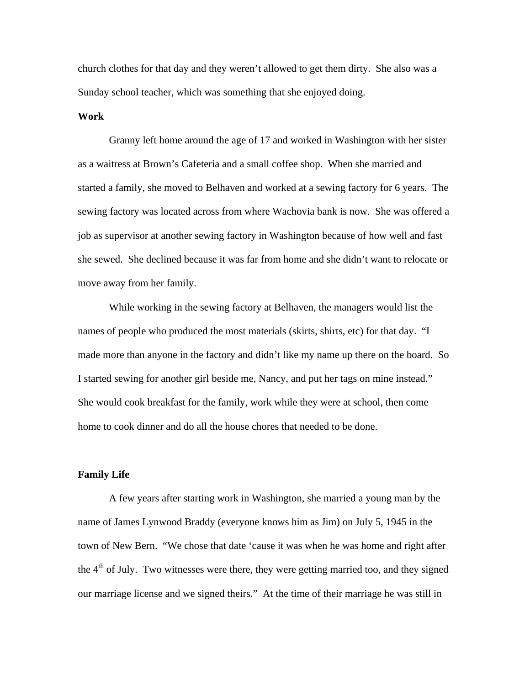church clothes for that day and they weren't allowed to get them dirty. She also was a Sunday school teacher, which was something that she enjoyed doing.

#### **Work**

Granny left home around the age of 17 and worked in Washington with her sister as a waitress at Brown's Cafeteria and a small coffee shop. When she married and started a family, she moved to Belhaven and worked at a sewing factory for 6 years. The sewing factory was located across from where Wachovia bank is now. She was offered a job as supervisor at another sewing factory in Washington because of how well and fast she sewed. She declined because it was far from home and she didn't want to relocate or move away from her family.

While working in the sewing factory at Belhaven, the managers would list the names of people who produced the most materials (skirts, shirts, etc) for that day. "I made more than anyone in the factory and didn't like my name up there on the board. So I started sewing for another girl beside me, Nancy, and put her tags on mine instead." She would cook breakfast for the family, work while they were at school, then come home to cook dinner and do all the house chores that needed to be done.

#### **Family Life**

A few years after starting work in Washington, she married a young man by the name of James Lynwood Braddy (everyone knows him as Jim) on July 5, 1945 in the town of New Bern. "We chose that date 'cause it was when he was home and right after the  $4<sup>th</sup>$  of July. Two witnesses were there, they were getting married too, and they signed our marriage license and we signed theirs." At the time of their marriage he was still in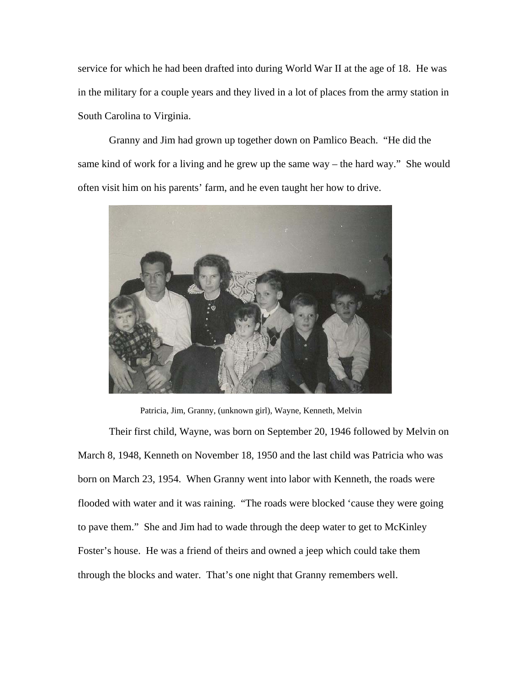service for which he had been drafted into during World War II at the age of 18. He was in the military for a couple years and they lived in a lot of places from the army station in South Carolina to Virginia.

Granny and Jim had grown up together down on Pamlico Beach. "He did the same kind of work for a living and he grew up the same way – the hard way." She would often visit him on his parents' farm, and he even taught her how to drive.



Patricia, Jim, Granny, (unknown girl), Wayne, Kenneth, Melvin

Their first child, Wayne, was born on September 20, 1946 followed by Melvin on March 8, 1948, Kenneth on November 18, 1950 and the last child was Patricia who was born on March 23, 1954. When Granny went into labor with Kenneth, the roads were flooded with water and it was raining. "The roads were blocked 'cause they were going to pave them." She and Jim had to wade through the deep water to get to McKinley Foster's house. He was a friend of theirs and owned a jeep which could take them through the blocks and water. That's one night that Granny remembers well.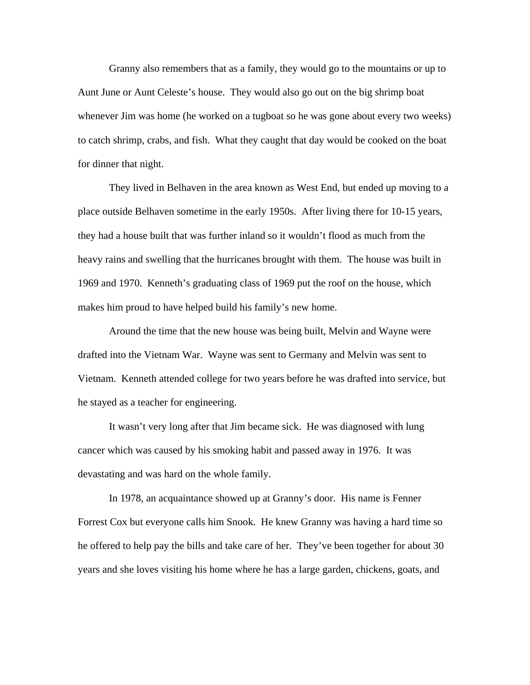Granny also remembers that as a family, they would go to the mountains or up to Aunt June or Aunt Celeste's house. They would also go out on the big shrimp boat whenever Jim was home (he worked on a tugboat so he was gone about every two weeks) to catch shrimp, crabs, and fish. What they caught that day would be cooked on the boat for dinner that night.

They lived in Belhaven in the area known as West End, but ended up moving to a place outside Belhaven sometime in the early 1950s. After living there for 10-15 years, they had a house built that was further inland so it wouldn't flood as much from the heavy rains and swelling that the hurricanes brought with them. The house was built in 1969 and 1970. Kenneth's graduating class of 1969 put the roof on the house, which makes him proud to have helped build his family's new home.

Around the time that the new house was being built, Melvin and Wayne were drafted into the Vietnam War. Wayne was sent to Germany and Melvin was sent to Vietnam. Kenneth attended college for two years before he was drafted into service, but he stayed as a teacher for engineering.

It wasn't very long after that Jim became sick. He was diagnosed with lung cancer which was caused by his smoking habit and passed away in 1976. It was devastating and was hard on the whole family.

In 1978, an acquaintance showed up at Granny's door. His name is Fenner Forrest Cox but everyone calls him Snook. He knew Granny was having a hard time so he offered to help pay the bills and take care of her. They've been together for about 30 years and she loves visiting his home where he has a large garden, chickens, goats, and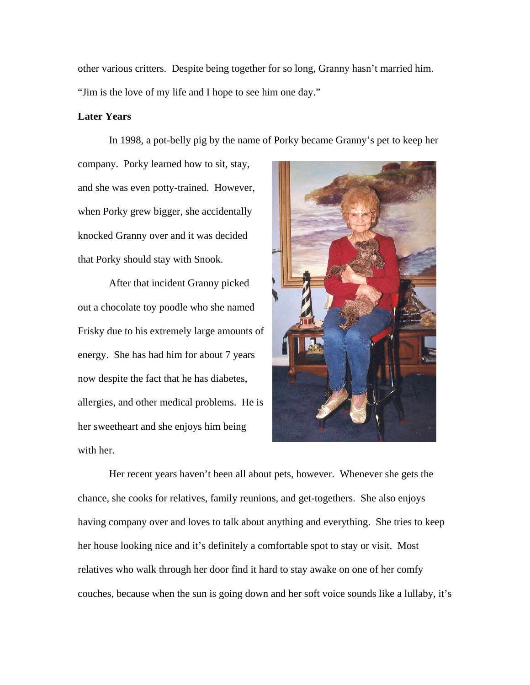other various critters. Despite being together for so long, Granny hasn't married him. "Jim is the love of my life and I hope to see him one day."

# **Later Years**

In 1998, a pot-belly pig by the name of Porky became Granny's pet to keep her

company. Porky learned how to sit, stay, and she was even potty-trained. However, when Porky grew bigger, she accidentally knocked Granny over and it was decided that Porky should stay with Snook.

 After that incident Granny picked out a chocolate toy poodle who she named Frisky due to his extremely large amounts of energy. She has had him for about 7 years now despite the fact that he has diabetes, allergies, and other medical problems. He is her sweetheart and she enjoys him being with her.



 Her recent years haven't been all about pets, however. Whenever she gets the chance, she cooks for relatives, family reunions, and get-togethers. She also enjoys having company over and loves to talk about anything and everything. She tries to keep her house looking nice and it's definitely a comfortable spot to stay or visit. Most relatives who walk through her door find it hard to stay awake on one of her comfy couches, because when the sun is going down and her soft voice sounds like a lullaby, it's